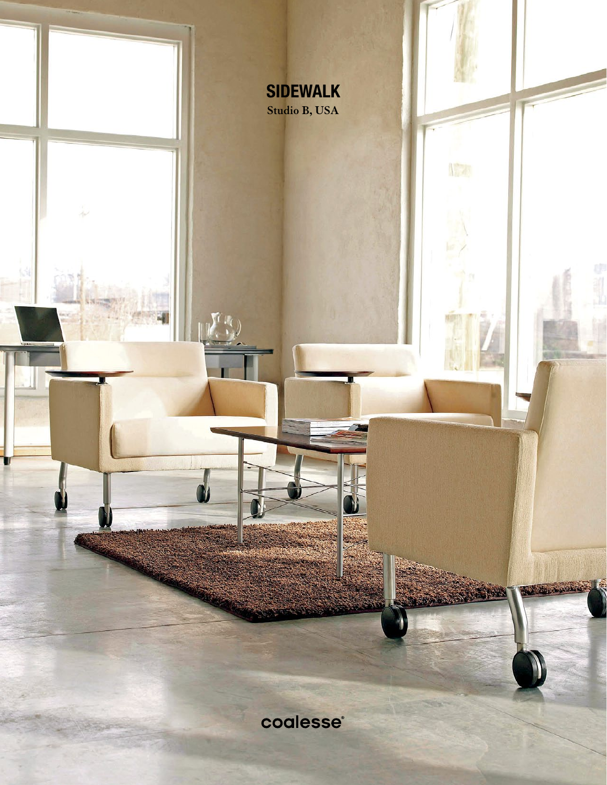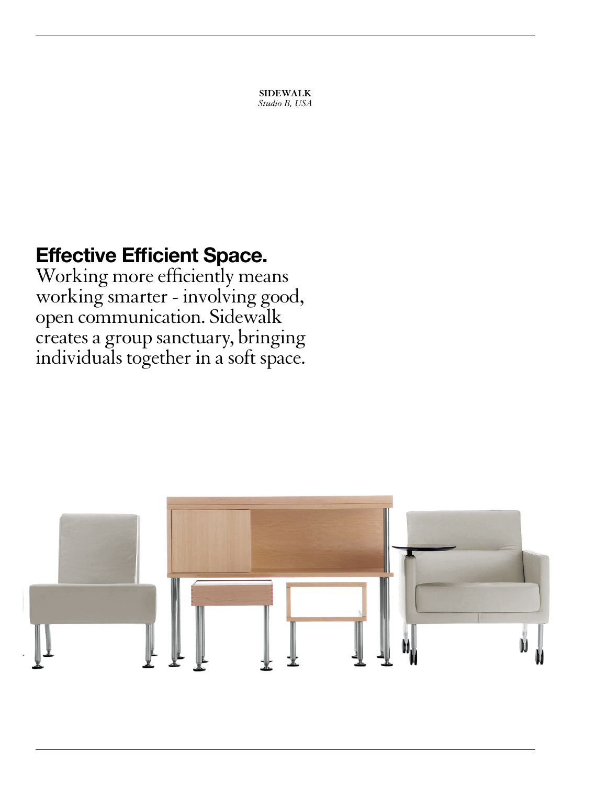**SIDEWALK** *Studio B, USA*

# Effective Efficient Space.

Working more efficiently means working smarter - involving good, open communication. Sidewalk creates a group sanctuary, bringing individuals together in a soft space.

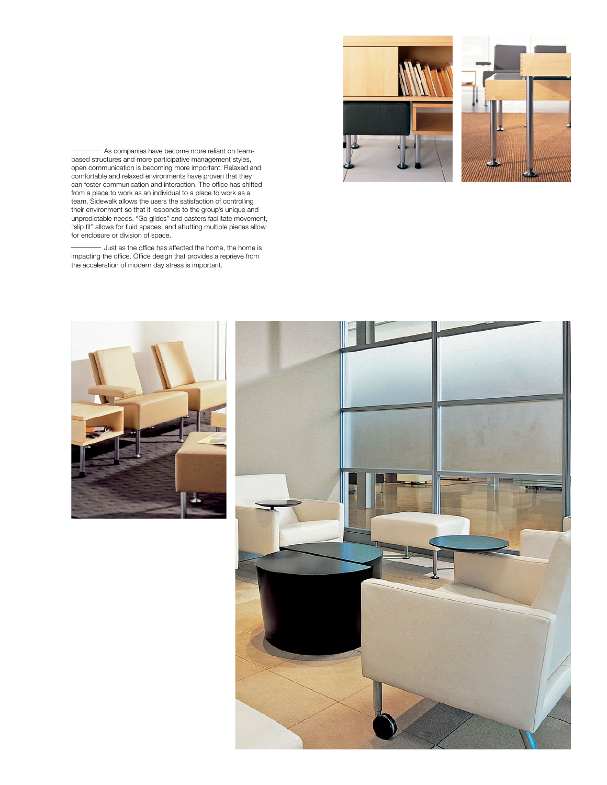



As companies have become more reliant on teambased structures and more participative management styles, open communication is becoming more important. Relaxed and comfortable and relaxed environments have proven that they can foster communication and interaction. The office has shifted from a place to work as an individual to a place to work as a team. Sidewalk allows the users the satisfaction of controlling their environment so that it responds to the group's unique and unpredictable needs. "Go glides" and casters facilitate movement, "slip fit" allows for fluid spaces, and abutting multiple pieces allow for enclosure or division of space.

- Just as the office has affected the home, the home is impacting the office. Office design that provides a reprieve from the acceleration of modern day stress is important.